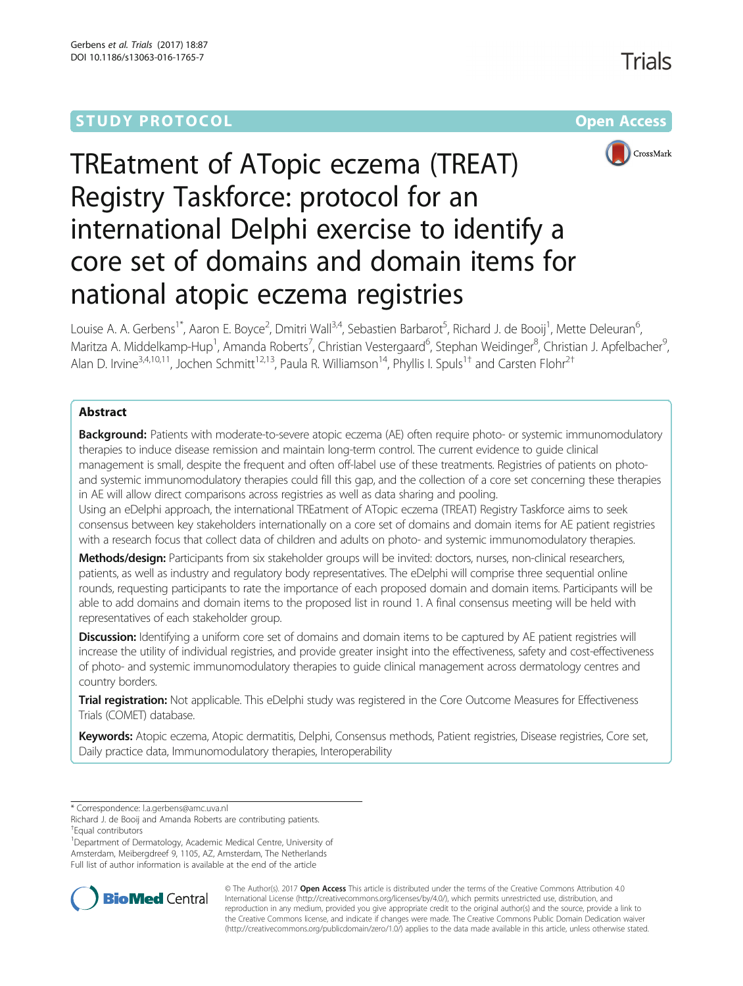# **STUDY PROTOCOL CONSUMING THE CONSUMING OPEN ACCESS**



# TREatment of ATopic eczema (TREAT) Registry Taskforce: protocol for an international Delphi exercise to identify a core set of domains and domain items for national atopic eczema registries

Louise A. A. Gerbens<sup>1\*</sup>, Aaron E. Boyce<sup>2</sup>, Dmitri Wall<sup>3,4</sup>, Sebastien Barbarot<sup>5</sup>, Richard J. de Booij<sup>1</sup>, Mette Deleuran<sup>6</sup> י<br>, Maritza A. Middelkamp-Hup<sup>1</sup>, Amanda Roberts<sup>7</sup>, Christian Vestergaard<sup>6</sup>, Stephan Weidinger<sup>8</sup>, Christian J. Apfelbacher<sup>s</sup> , Alan D. Irvine<sup>3,4,10,11</sup>, Jochen Schmitt<sup>12,13</sup>, Paula R. Williamson<sup>14</sup>, Phyllis I. Spuls<sup>1†</sup> and Carsten Flohr<sup>2†</sup>

# Abstract

Background: Patients with moderate-to-severe atopic eczema (AE) often require photo- or systemic immunomodulatory therapies to induce disease remission and maintain long-term control. The current evidence to guide clinical management is small, despite the frequent and often off-label use of these treatments. Registries of patients on photoand systemic immunomodulatory therapies could fill this gap, and the collection of a core set concerning these therapies in AE will allow direct comparisons across registries as well as data sharing and pooling.

Using an eDelphi approach, the international TREatment of ATopic eczema (TREAT) Registry Taskforce aims to seek consensus between key stakeholders internationally on a core set of domains and domain items for AE patient registries with a research focus that collect data of children and adults on photo- and systemic immunomodulatory therapies.

Methods/design: Participants from six stakeholder groups will be invited: doctors, nurses, non-clinical researchers, patients, as well as industry and regulatory body representatives. The eDelphi will comprise three sequential online rounds, requesting participants to rate the importance of each proposed domain and domain items. Participants will be able to add domains and domain items to the proposed list in round 1. A final consensus meeting will be held with representatives of each stakeholder group.

Discussion: Identifying a uniform core set of domains and domain items to be captured by AE patient registries will increase the utility of individual registries, and provide greater insight into the effectiveness, safety and cost-effectiveness of photo- and systemic immunomodulatory therapies to guide clinical management across dermatology centres and country borders.

Trial registration: Not applicable. This eDelphi study was registered in the Core Outcome Measures for Effectiveness Trials (COMET) database.

Keywords: Atopic eczema, Atopic dermatitis, Delphi, Consensus methods, Patient registries, Disease registries, Core set, Daily practice data, Immunomodulatory therapies, Interoperability

<sup>1</sup>Department of Dermatology, Academic Medical Centre, University of Amsterdam, Meibergdreef 9, 1105, AZ, Amsterdam, The Netherlands Full list of author information is available at the end of the article



© The Author(s). 2017 **Open Access** This article is distributed under the terms of the Creative Commons Attribution 4.0 International License [\(http://creativecommons.org/licenses/by/4.0/](http://creativecommons.org/licenses/by/4.0/)), which permits unrestricted use, distribution, and reproduction in any medium, provided you give appropriate credit to the original author(s) and the source, provide a link to the Creative Commons license, and indicate if changes were made. The Creative Commons Public Domain Dedication waiver [\(http://creativecommons.org/publicdomain/zero/1.0/](http://creativecommons.org/publicdomain/zero/1.0/)) applies to the data made available in this article, unless otherwise stated.

<sup>\*</sup> Correspondence: [l.a.gerbens@amc.uva.nl](mailto:l.a.gerbens@amc.uva.nl)

Richard J. de Booij and Amanda Roberts are contributing patients. † Equal contributors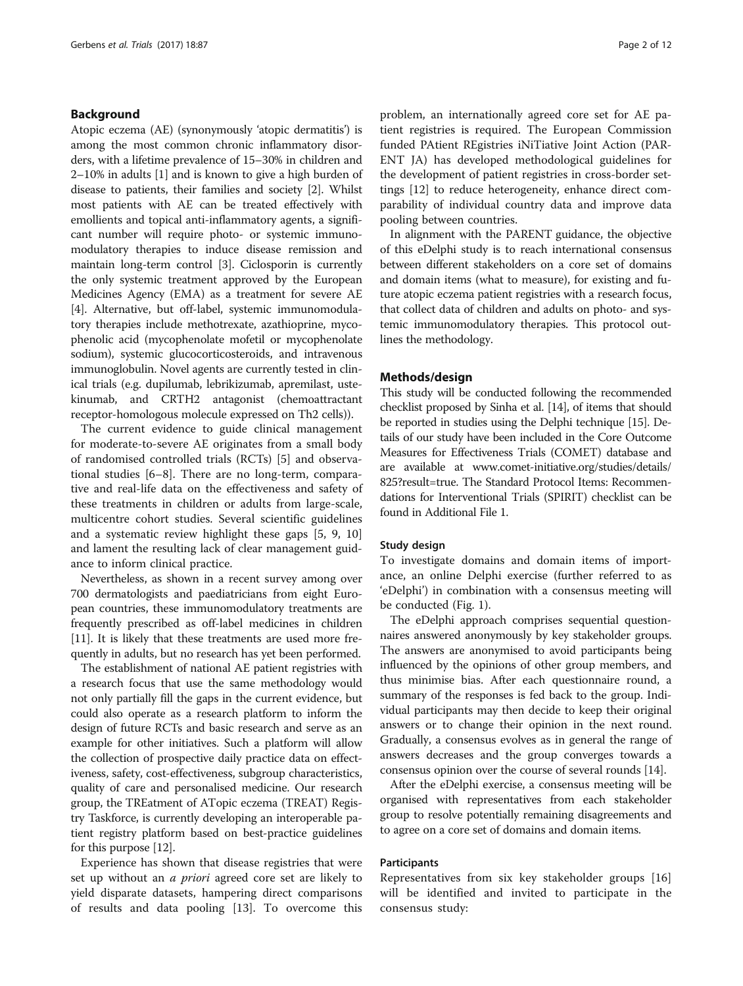# Background

Atopic eczema (AE) (synonymously 'atopic dermatitis') is among the most common chronic inflammatory disorders, with a lifetime prevalence of 15–30% in children and 2–10% in adults [\[1\]](#page-11-0) and is known to give a high burden of disease to patients, their families and society [[2](#page-11-0)]. Whilst most patients with AE can be treated effectively with emollients and topical anti-inflammatory agents, a significant number will require photo- or systemic immunomodulatory therapies to induce disease remission and maintain long-term control [\[3\]](#page-11-0). Ciclosporin is currently the only systemic treatment approved by the European Medicines Agency (EMA) as a treatment for severe AE [[4\]](#page-11-0). Alternative, but off-label, systemic immunomodulatory therapies include methotrexate, azathioprine, mycophenolic acid (mycophenolate mofetil or mycophenolate sodium), systemic glucocorticosteroids, and intravenous immunoglobulin. Novel agents are currently tested in clinical trials (e.g. dupilumab, lebrikizumab, apremilast, ustekinumab, and CRTH2 antagonist (chemoattractant receptor-homologous molecule expressed on Th2 cells)).

The current evidence to guide clinical management for moderate-to-severe AE originates from a small body of randomised controlled trials (RCTs) [\[5\]](#page-11-0) and observational studies [[6](#page-11-0)–[8](#page-11-0)]. There are no long-term, comparative and real-life data on the effectiveness and safety of these treatments in children or adults from large-scale, multicentre cohort studies. Several scientific guidelines and a systematic review highlight these gaps [[5](#page-11-0), [9, 10](#page-11-0)] and lament the resulting lack of clear management guidance to inform clinical practice.

Nevertheless, as shown in a recent survey among over 700 dermatologists and paediatricians from eight European countries, these immunomodulatory treatments are frequently prescribed as off-label medicines in children [[11](#page-11-0)]. It is likely that these treatments are used more frequently in adults, but no research has yet been performed.

The establishment of national AE patient registries with a research focus that use the same methodology would not only partially fill the gaps in the current evidence, but could also operate as a research platform to inform the design of future RCTs and basic research and serve as an example for other initiatives. Such a platform will allow the collection of prospective daily practice data on effectiveness, safety, cost-effectiveness, subgroup characteristics, quality of care and personalised medicine. Our research group, the TREatment of ATopic eczema (TREAT) Registry Taskforce, is currently developing an interoperable patient registry platform based on best-practice guidelines for this purpose [[12](#page-11-0)].

Experience has shown that disease registries that were set up without an *a priori* agreed core set are likely to yield disparate datasets, hampering direct comparisons of results and data pooling [[13\]](#page-11-0). To overcome this problem, an internationally agreed core set for AE patient registries is required. The European Commission funded PAtient REgistries iNiTiative Joint Action (PAR-ENT JA) has developed methodological guidelines for the development of patient registries in cross-border settings [\[12](#page-11-0)] to reduce heterogeneity, enhance direct comparability of individual country data and improve data pooling between countries.

In alignment with the PARENT guidance, the objective of this eDelphi study is to reach international consensus between different stakeholders on a core set of domains and domain items (what to measure), for existing and future atopic eczema patient registries with a research focus, that collect data of children and adults on photo- and systemic immunomodulatory therapies. This protocol outlines the methodology.

## Methods/design

This study will be conducted following the recommended checklist proposed by Sinha et al. [\[14](#page-11-0)], of items that should be reported in studies using the Delphi technique [\[15\]](#page-11-0). Details of our study have been included in the Core Outcome Measures for Effectiveness Trials (COMET) database and are available at [www.comet-initiative.org/studies/details/](http://www.comet-initiative.org/studies/details/825?result=true) [825?result=true.](http://www.comet-initiative.org/studies/details/825?result=true) The Standard Protocol Items: Recommendations for Interventional Trials (SPIRIT) checklist can be found in Additional File [1.](#page-10-0)

#### Study design

To investigate domains and domain items of importance, an online Delphi exercise (further referred to as 'eDelphi') in combination with a consensus meeting will be conducted (Fig. [1](#page-2-0)).

The eDelphi approach comprises sequential questionnaires answered anonymously by key stakeholder groups. The answers are anonymised to avoid participants being influenced by the opinions of other group members, and thus minimise bias. After each questionnaire round, a summary of the responses is fed back to the group. Individual participants may then decide to keep their original answers or to change their opinion in the next round. Gradually, a consensus evolves as in general the range of answers decreases and the group converges towards a consensus opinion over the course of several rounds [\[14](#page-11-0)].

After the eDelphi exercise, a consensus meeting will be organised with representatives from each stakeholder group to resolve potentially remaining disagreements and to agree on a core set of domains and domain items.

# **Participants**

Representatives from six key stakeholder groups [\[16](#page-11-0)] will be identified and invited to participate in the consensus study: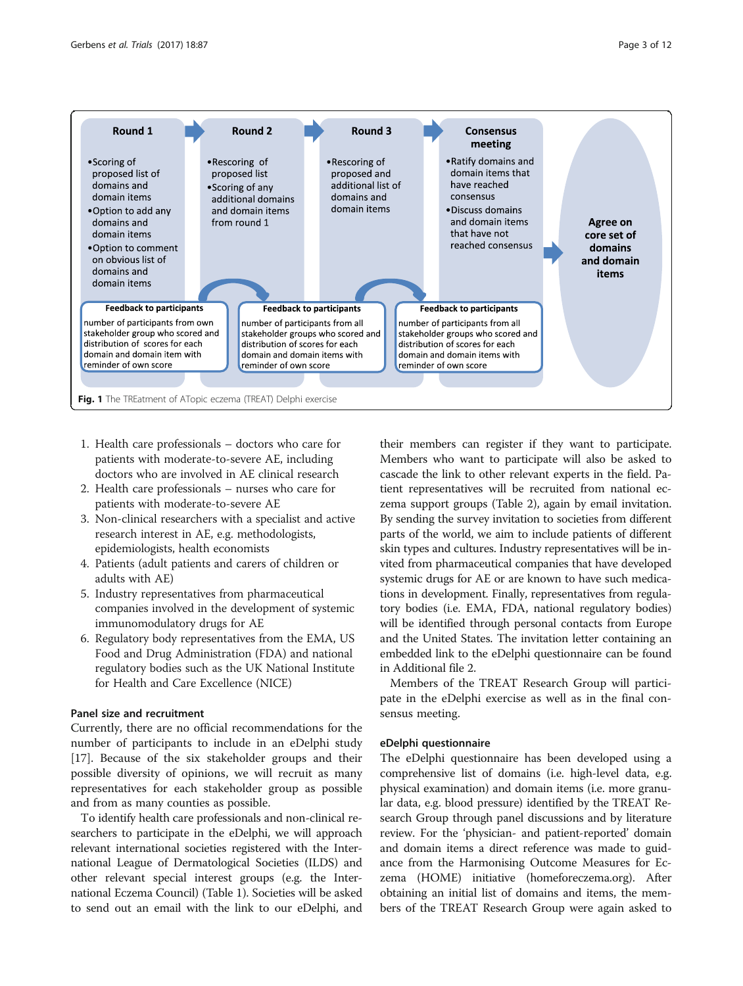<span id="page-2-0"></span>

- 1. Health care professionals doctors who care for patients with moderate-to-severe AE, including doctors who are involved in AE clinical research
- 2. Health care professionals nurses who care for patients with moderate-to-severe AE
- 3. Non-clinical researchers with a specialist and active research interest in AE, e.g. methodologists, epidemiologists, health economists
- 4. Patients (adult patients and carers of children or adults with AE)
- 5. Industry representatives from pharmaceutical companies involved in the development of systemic immunomodulatory drugs for AE
- 6. Regulatory body representatives from the EMA, US Food and Drug Administration (FDA) and national regulatory bodies such as the UK National Institute for Health and Care Excellence (NICE)

# Panel size and recruitment

Currently, there are no official recommendations for the number of participants to include in an eDelphi study [[17\]](#page-11-0). Because of the six stakeholder groups and their possible diversity of opinions, we will recruit as many representatives for each stakeholder group as possible and from as many counties as possible.

To identify health care professionals and non-clinical researchers to participate in the eDelphi, we will approach relevant international societies registered with the International League of Dermatological Societies (ILDS) and other relevant special interest groups (e.g. the International Eczema Council) (Table [1](#page-3-0)). Societies will be asked to send out an email with the link to our eDelphi, and

their members can register if they want to participate. Members who want to participate will also be asked to cascade the link to other relevant experts in the field. Patient representatives will be recruited from national eczema support groups (Table [2](#page-5-0)), again by email invitation. By sending the survey invitation to societies from different parts of the world, we aim to include patients of different skin types and cultures. Industry representatives will be invited from pharmaceutical companies that have developed systemic drugs for AE or are known to have such medications in development. Finally, representatives from regulatory bodies (i.e. EMA, FDA, national regulatory bodies) will be identified through personal contacts from Europe and the United States. The invitation letter containing an embedded link to the eDelphi questionnaire can be found in Additional file [2.](#page-10-0)

Members of the TREAT Research Group will participate in the eDelphi exercise as well as in the final consensus meeting.

#### eDelphi questionnaire

The eDelphi questionnaire has been developed using a comprehensive list of domains (i.e. high-level data, e.g. physical examination) and domain items (i.e. more granular data, e.g. blood pressure) identified by the TREAT Research Group through panel discussions and by literature review. For the 'physician- and patient-reported' domain and domain items a direct reference was made to guidance from the Harmonising Outcome Measures for Eczema (HOME) initiative (homeforeczema.org). After obtaining an initial list of domains and items, the members of the TREAT Research Group were again asked to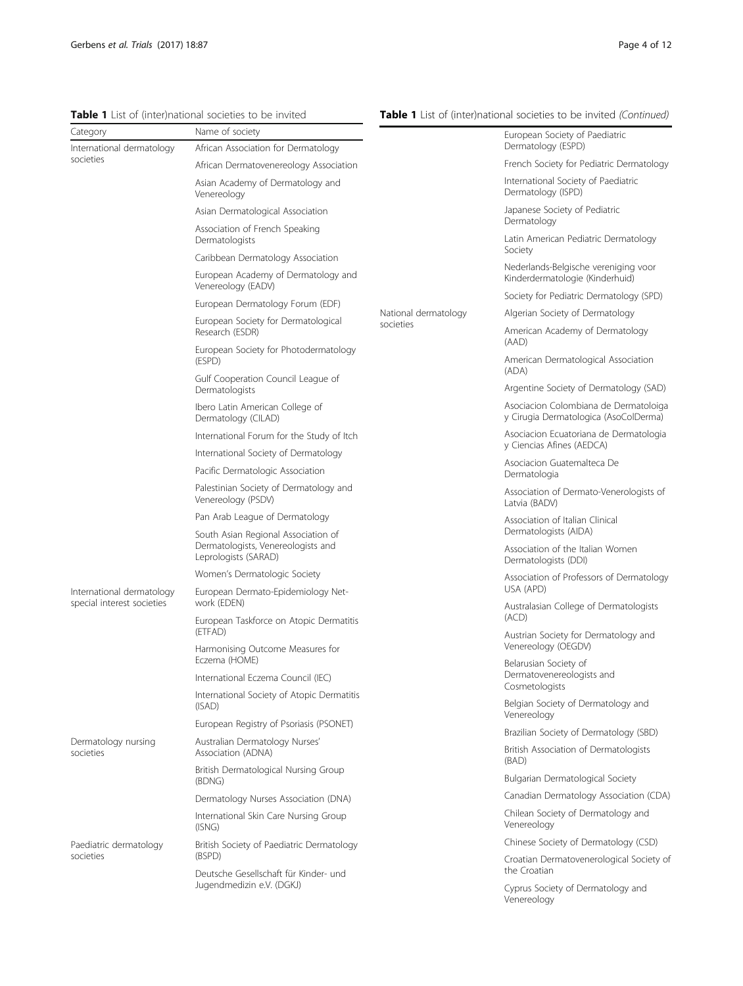<span id="page-3-0"></span>Table 1 List of (inter)national societies to be invited

# Table 1 List of (inter)national societies to be invited (Continued)

| Category                                                | Name of society                                                                   |                                   | European Society of Paediatric                                                 |
|---------------------------------------------------------|-----------------------------------------------------------------------------------|-----------------------------------|--------------------------------------------------------------------------------|
| International dermatology                               | African Association for Dermatology                                               |                                   | Dermatology (ESPD)                                                             |
| societies                                               | African Dermatovenereology Association                                            | National dermatology<br>societies | French Society for Pediatric Dermatology                                       |
|                                                         | Asian Academy of Dermatology and<br>Venereology                                   |                                   | International Society of Paediatric<br>Dermatology (ISPD)                      |
|                                                         | Asian Dermatological Association                                                  |                                   | Japanese Society of Pediatric                                                  |
|                                                         | Association of French Speaking<br>Dermatologists                                  |                                   | Dermatology<br>Latin American Pediatric Dermatology                            |
|                                                         | Caribbean Dermatology Association                                                 |                                   | Society                                                                        |
|                                                         | European Academy of Dermatology and<br>Venereology (EADV)                         |                                   | Nederlands-Belgische vereniging voor<br>Kinderdermatologie (Kinderhuid)        |
|                                                         | European Dermatology Forum (EDF)                                                  |                                   | Society for Pediatric Dermatology (SPD)                                        |
|                                                         | European Society for Dermatological<br>Research (ESDR)                            |                                   | Algerian Society of Dermatology<br>American Academy of Dermatology             |
|                                                         | European Society for Photodermatology<br>(ESPD)                                   |                                   | (AAD)<br>American Dermatological Association                                   |
|                                                         | Gulf Cooperation Council League of                                                |                                   | (ADA)                                                                          |
|                                                         | Dermatologists                                                                    |                                   | Argentine Society of Dermatology (SAD)                                         |
|                                                         | Ibero Latin American College of<br>Dermatology (CILAD)                            |                                   | Asociacion Colombiana de Dermatoloiga<br>y Cirugia Dermatologica (AsoColDerma) |
|                                                         | International Forum for the Study of Itch<br>International Society of Dermatology |                                   | Asociacion Ecuatoriana de Dermatologia<br>y Ciencias Afines (AEDCA)            |
|                                                         | Pacific Dermatologic Association                                                  |                                   | Asociacion Guatemalteca De                                                     |
|                                                         | Palestinian Society of Dermatology and<br>Venereology (PSDV)                      |                                   | Dermatologia<br>Association of Dermato-Venerologists of<br>Latvia (BADV)       |
|                                                         | Pan Arab League of Dermatology                                                    |                                   | Association of Italian Clinical                                                |
|                                                         | South Asian Regional Association of                                               |                                   | Dermatologists (AIDA)                                                          |
|                                                         | Dermatologists, Venereologists and<br>Leprologists (SARAD)                        |                                   | Association of the Italian Women<br>Dermatologists (DDI)                       |
|                                                         | Women's Dermatologic Society                                                      |                                   | Association of Professors of Dermatology                                       |
| International dermatology<br>special interest societies | European Dermato-Epidemiology Net-<br>work (EDEN)                                 |                                   | USA (APD)<br>Australasian College of Dermatologists                            |
|                                                         | European Taskforce on Atopic Dermatitis<br>(ETFAD)                                |                                   | (ACD)                                                                          |
|                                                         | Harmonising Outcome Measures for                                                  |                                   | Austrian Society for Dermatology and<br>Venereology (OEGDV)                    |
|                                                         | Eczema (HOME)                                                                     |                                   | Belarusian Society of                                                          |
|                                                         | International Eczema Council (IEC)                                                |                                   | Dermatovenereologists and<br>Cosmetologists                                    |
|                                                         | International Society of Atopic Dermatitis<br>(ISAD)                              |                                   | Belgian Society of Dermatology and<br>Venereology                              |
|                                                         | European Registry of Psoriasis (PSONET)                                           |                                   | Brazilian Society of Dermatology (SBD)                                         |
| Dermatology nursing<br>societies                        | Australian Dermatology Nurses'<br>Association (ADNA)                              |                                   | British Association of Dermatologists<br>(BAD)                                 |
|                                                         | British Dermatological Nursing Group<br>(BDNG)                                    |                                   | Bulgarian Dermatological Society                                               |
|                                                         | Dermatology Nurses Association (DNA)                                              |                                   | Canadian Dermatology Association (CDA)                                         |
|                                                         | International Skin Care Nursing Group<br>(ISNG)                                   |                                   | Chilean Society of Dermatology and<br>Venereology                              |
| Paediatric dermatology                                  | British Society of Paediatric Dermatology                                         |                                   | Chinese Society of Dermatology (CSD)                                           |
| societies                                               | (BSPD)                                                                            |                                   | Croatian Dermatovenerological Society of<br>the Croatian                       |
|                                                         | Deutsche Gesellschaft für Kinder- und<br>Jugendmedizin e.V. (DGKJ)                |                                   | Cyprus Society of Dermatology and<br>Venereology                               |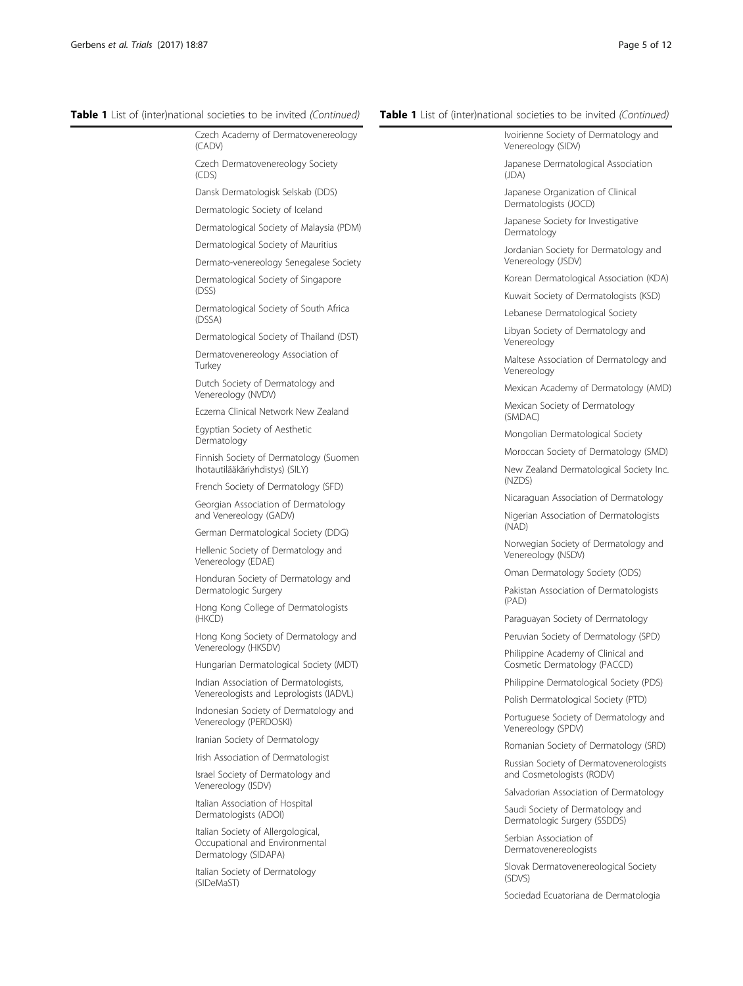# Table 1 List of (inter)national societies to be invited (Continued)

| $DC$ $\cdots$ $\cdots$ $\cdots$ $\cdots$ $\cdots$                                            |
|----------------------------------------------------------------------------------------------|
| Czech Academy of Dermatovenereology<br>(CADV)                                                |
| Czech Dermatovenereology Society<br>(CDS)                                                    |
| Dansk Dermatologisk Selskab (DDS)                                                            |
| Dermatologic Society of Iceland                                                              |
| Dermatological Society of Malaysia (PDM)                                                     |
| Dermatological Society of Mauritius                                                          |
| Dermato-venereology Senegalese Society                                                       |
| Dermatological Society of Singapore<br>(DSS)                                                 |
| Dermatological Society of South Africa<br>(DSSA)                                             |
| Dermatological Society of Thailand (DST)                                                     |
| Dermatovenereology Association of<br>Turkey                                                  |
| Dutch Society of Dermatology and<br>Venereology (NVDV)                                       |
| Eczema Clinical Network New Zealand                                                          |
| Egyptian Society of Aesthetic<br>Dermatology                                                 |
| Finnish Society of Dermatology (Suomen<br>Ihotautilääkäriyhdistys) (SILY)                    |
| French Society of Dermatology (SFD)                                                          |
| Georgian Association of Dermatology<br>and Venereology (GADV)                                |
| German Dermatological Society (DDG)                                                          |
| Hellenic Society of Dermatology and<br>Venereology (EDAE)                                    |
| Honduran Society of Dermatology and<br>Dermatologic Surgery                                  |
| Hong Kong College of Dermatologists<br>(HKCD)                                                |
| Hong Kong Society of Dermatology and<br>Venereology (HKSDV)                                  |
| Hungarian Dermatological Society (MDT)                                                       |
| Indian Association of Dermatologists,<br>Venereologists and Leprologists (IADVL)             |
| Indonesian Society of Dermatology and<br>Venereology (PERDOSKI)                              |
| Iranian Society of Dermatology                                                               |
| Irish Association of Dermatologist                                                           |
| Israel Society of Dermatology and<br>Venereology (ISDV)                                      |
| Italian Association of Hospital<br>Dermatologists (ADOI)                                     |
| Italian Society of Allergological,<br>Occupational and Environmental<br>Dermatology (SIDAPA) |

Italian Society of Dermatology (SIDeMaST)

# Table 1 List of (inter)national societies to be invited (Continued)

| Ivoirienne Society of Dermatology and<br>Venereology (SIDV)          |
|----------------------------------------------------------------------|
| Japanese Dermatological Association<br>(JDA)                         |
| Japanese Organization of Clinical<br>Dermatologists (JOCD)           |
| Japanese Society for Investigative<br>Dermatology                    |
| Jordanian Society for Dermatology and<br>Venereology (JSDV)          |
| Korean Dermatological Association (KDA)                              |
| Kuwait Society of Dermatologists (KSD)                               |
| Lebanese Dermatological Society                                      |
| Libyan Society of Dermatology and<br>Venereology                     |
| Maltese Association of Dermatology and<br>Venereology                |
| Mexican Academy of Dermatology (AMD)                                 |
| Mexican Society of Dermatology<br>(SMDAC)                            |
| Mongolian Dermatological Society                                     |
| Moroccan Society of Dermatology (SMD)                                |
| New Zealand Dermatological Society Inc.<br>(NZDS)                    |
| Nicaraguan Association of Dermatology                                |
| Nigerian Association of Dermatologists<br>(NAD)                      |
| Norwegian Society of Dermatology and<br>Venereology (NSDV)           |
| Oman Dermatology Society (ODS)                                       |
| Pakistan Association of Dermatologists<br>(PAD)                      |
| Paraguayan Society of Dermatology                                    |
| Peruvian Society of Dermatology (SPD)                                |
| Philippine Academy of Clinical and<br>Cosmetic Dermatology (PACCD)   |
| Philippine Dermatological Society (PDS)                              |
| Polish Dermatological Society (PTD)                                  |
| Portuguese Society of Dermatology and<br>Venereology (SPDV)          |
| Romanian Society of Dermatology (SRD)                                |
| Russian Society of Dermatovenerologists<br>and Cosmetologists (RODV) |
| Salvadorian Association of Dermatology                               |
| Saudi Society of Dermatology and<br>Dermatologic Surgery (SSDDS)     |
| Serbian Association of<br>Dermatovenereologists                      |
| Slovak Dermatovenereological Society<br>(SDVS)                       |
|                                                                      |

Sociedad Ecuatoriana de Dermatologia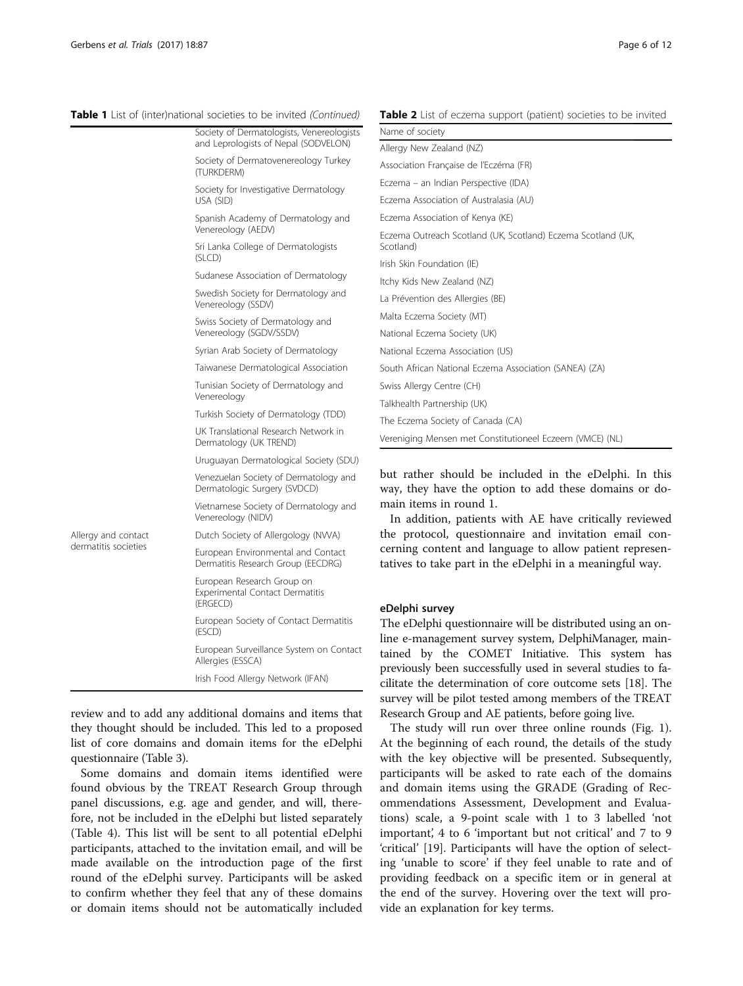Allergy derma

# <span id="page-5-0"></span>Table 1 List of (inter)national societies to be invited (Continued)

Table 2 List of eczema support (patient) societies to be invited

|                 | Society of Dermatologists, Venereologists<br>and Leprologists of Nepal (SODVELON) | Name<br>Allergy         |
|-----------------|-----------------------------------------------------------------------------------|-------------------------|
|                 | Society of Dermatovenereology Turkey<br>(TURKDERM)                                | Associa                 |
|                 | Society for Investigative Dermatology                                             | Eczem                   |
|                 | USA (SID)                                                                         | Eczem                   |
|                 | Spanish Academy of Dermatology and<br>Venereology (AEDV)                          | Eczem<br>Eczem          |
|                 | Sri Lanka College of Dermatologists<br>(SLCD)                                     | Scotlar                 |
|                 | Sudanese Association of Dermatology                                               | Irish Sk                |
|                 | Swedish Society for Dermatology and                                               | Itchy K<br>La Prév      |
|                 | Venereology (SSDV)<br>Swiss Society of Dermatology and<br>Venereology (SGDV/SSDV) | Malta E<br>Nation       |
|                 | Syrian Arab Society of Dermatology                                                | Nation                  |
|                 | Taiwanese Dermatological Association                                              | South.                  |
|                 | Tunisian Society of Dermatology and<br>Venereology                                | Swiss A                 |
|                 | Turkish Society of Dermatology (TDD)                                              | Talkhea                 |
|                 | UK Translational Research Network in<br>Dermatology (UK TREND)                    | The Ec<br>Verenio       |
|                 | Uruguayan Dermatological Society (SDU)                                            |                         |
|                 | Venezuelan Society of Dermatology and<br>Dermatologic Surgery (SVDCD)             | but r<br>way,           |
|                 | Vietnamese Society of Dermatology and<br>Venereology (NIDV)                       | main<br>In :            |
| and contact     | Dutch Society of Allergology (NWA)                                                | the p                   |
| titis societies | European Environmental and Contact<br>Dermatitis Research Group (EECDRG)          | cerni<br>tative         |
|                 | European Research Group on<br><b>Experimental Contact Dermatitis</b><br>(ERGECD)  |                         |
|                 | European Society of Contact Dermatitis<br>(ESCD)                                  | eDelp<br>The $\epsilon$ |
|                 | European Surveillance System on Contact<br>Allergies (ESSCA)                      | line e<br>tained        |
|                 | Irish Food Allergy Network (IFAN)                                                 | previ<br>$\sim$ ilitot  |
|                 |                                                                                   |                         |

review and to add any additional domains and items that they thought should be included. This led to a proposed list of core domains and domain items for the eDelphi questionnaire (Table [3\)](#page-6-0).

Some domains and domain items identified were found obvious by the TREAT Research Group through panel discussions, e.g. age and gender, and will, therefore, not be included in the eDelphi but listed separately (Table [4](#page-7-0)). This list will be sent to all potential eDelphi participants, attached to the invitation email, and will be made available on the introduction page of the first round of the eDelphi survey. Participants will be asked to confirm whether they feel that any of these domains or domain items should not be automatically included

| Name of society                                                           |
|---------------------------------------------------------------------------|
| Allergy New Zealand (NZ)                                                  |
| Association Française de l'Eczéma (FR)                                    |
| Eczema - an Indian Perspective (IDA)                                      |
| Eczema Association of Australasia (AU)                                    |
| Eczema Association of Kenya (KE)                                          |
| Eczema Outreach Scotland (UK, Scotland) Eczema Scotland (UK,<br>Scotland) |
| Irish Skin Foundation (IE)                                                |
| Itchy Kids New Zealand (NZ)                                               |
| La Prévention des Allergies (BE)                                          |
| Malta Eczema Society (MT)                                                 |
| National Eczema Society (UK)                                              |
| National Eczema Association (US)                                          |
| South African National Eczema Association (SANEA) (ZA)                    |
| Swiss Allergy Centre (CH)                                                 |
| Talkhealth Partnership (UK)                                               |
| The Eczema Society of Canada (CA)                                         |
| Vereniging Mensen met Constitutioneel Eczeem (VMCE) (NL)                  |

ather should be included in the eDelphi. In this they have the option to add these domains or do-

items in round 1. addition, patients with AE have critically reviewed protocol, questionnaire and invitation email conng content and language to allow patient represenes to take part in the eDelphi in a meaningful way.

# **phi survey**

Polphi questionnaire will be distributed using an on--management survey system, DelphiManager, maind by the COMET Initiative. This system has ously been successfully used in several studies to facilitate the determination of core outcome sets [\[18\]](#page-11-0). The survey will be pilot tested among members of the TREAT Research Group and AE patients, before going live.

The study will run over three online rounds (Fig. [1](#page-2-0)). At the beginning of each round, the details of the study with the key objective will be presented. Subsequently, participants will be asked to rate each of the domains and domain items using the GRADE (Grading of Recommendations Assessment, Development and Evaluations) scale, a 9-point scale with 1 to 3 labelled 'not important', 4 to 6 'important but not critical' and 7 to 9 'critical' [[19](#page-11-0)]. Participants will have the option of selecting 'unable to score' if they feel unable to rate and of providing feedback on a specific item or in general at the end of the survey. Hovering over the text will provide an explanation for key terms.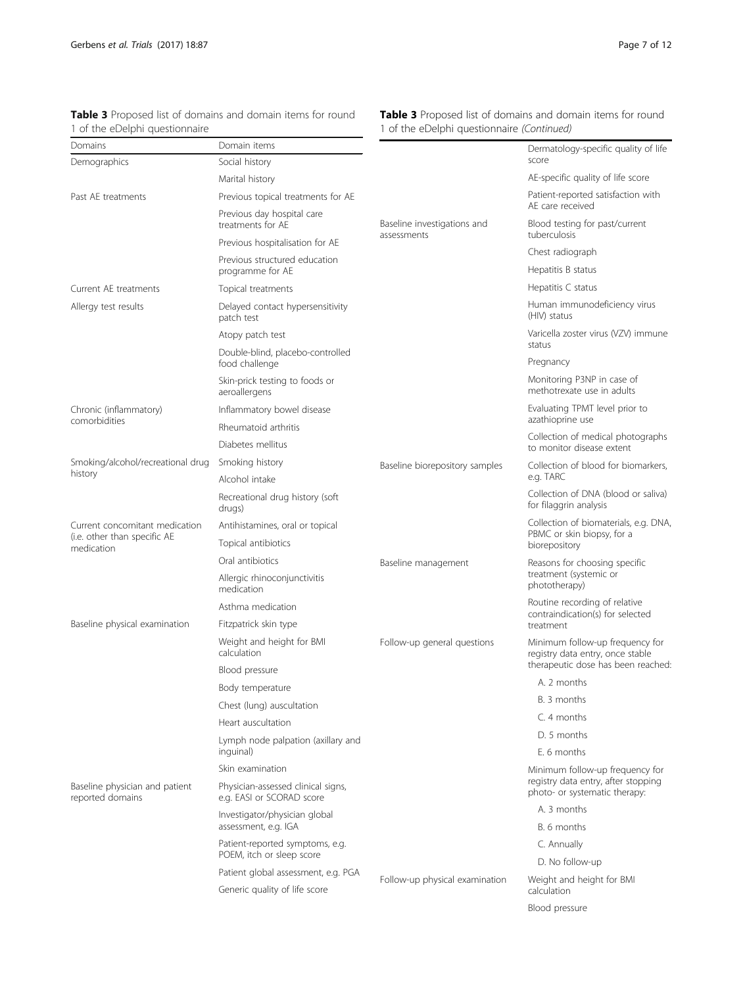| 1 of the eDelphi questionnaire                     |                                                                 | 1 of the eDelphi questionnaire (Continued) |                                                                        |
|----------------------------------------------------|-----------------------------------------------------------------|--------------------------------------------|------------------------------------------------------------------------|
| Domains                                            | Domain items                                                    |                                            | Dermatology-specific quality of life                                   |
| Demographics                                       | Social history                                                  |                                            | score                                                                  |
|                                                    | Marital history                                                 |                                            | AE-specific quality of life score                                      |
| Past AE treatments                                 | Previous topical treatments for AE                              |                                            | Patient-reported satisfaction with<br>AF care received                 |
|                                                    | Previous day hospital care<br>treatments for AE                 | Baseline investigations and<br>assessments | Blood testing for past/current<br>tuberculosis                         |
|                                                    | Previous hospitalisation for AE                                 |                                            | Chest radiograph                                                       |
|                                                    | Previous structured education<br>programme for AE               |                                            | Hepatitis B status                                                     |
| Current AE treatments                              | Topical treatments                                              |                                            | Hepatitis C status                                                     |
| Allergy test results                               | Delayed contact hypersensitivity                                |                                            | Human immunodeficiency virus<br>(HIV) status                           |
|                                                    | patch test                                                      |                                            | Varicella zoster virus (VZV) immune                                    |
|                                                    | Atopy patch test                                                |                                            | status                                                                 |
|                                                    | Double-blind, placebo-controlled<br>food challenge              |                                            | Pregnancy                                                              |
|                                                    | Skin-prick testing to foods or<br>aeroallergens                 |                                            | Monitoring P3NP in case of<br>methotrexate use in adults               |
| Chronic (inflammatory)                             | Inflammatory bowel disease                                      |                                            | Evaluating TPMT level prior to                                         |
| comorbidities                                      | Rheumatoid arthritis                                            |                                            | azathioprine use                                                       |
|                                                    | Diabetes mellitus                                               |                                            | Collection of medical photographs<br>to monitor disease extent         |
| Smoking/alcohol/recreational drug                  | Smoking history                                                 | Baseline biorepository samples             | Collection of blood for biomarkers,                                    |
| history                                            | Alcohol intake                                                  |                                            | e.g. TARC                                                              |
|                                                    | Recreational drug history (soft<br>drugs)                       |                                            | Collection of DNA (blood or saliva)<br>for filaggrin analysis          |
| Current concomitant medication                     | Antihistamines, oral or topical                                 |                                            | Collection of biomaterials, e.g. DNA,<br>PBMC or skin biopsy, for a    |
| (i.e. other than specific AE<br>medication         | Topical antibiotics                                             |                                            | biorepository                                                          |
|                                                    | Oral antibiotics                                                | Baseline management                        | Reasons for choosing specific                                          |
|                                                    | Allergic rhinoconjunctivitis<br>medication                      |                                            | treatment (systemic or<br>phototherapy)                                |
|                                                    | Asthma medication                                               |                                            | Routine recording of relative<br>contraindication(s) for selected      |
| Baseline physical examination                      | Fitzpatrick skin type                                           |                                            | treatment                                                              |
|                                                    | Weight and height for BMI<br>calculation                        | Follow-up general questions                | Minimum follow-up frequency for<br>registry data entry, once stable    |
|                                                    | Blood pressure                                                  |                                            | therapeutic dose has been reached:                                     |
|                                                    | Body temperature                                                |                                            | A. 2 months                                                            |
|                                                    | Chest (lung) auscultation                                       |                                            | B. 3 months                                                            |
|                                                    | Heart auscultation                                              |                                            | C. 4 months                                                            |
|                                                    | Lymph node palpation (axillary and                              |                                            | D. 5 months                                                            |
|                                                    | inguinal)                                                       |                                            | E. 6 months                                                            |
|                                                    | Skin examination                                                |                                            | Minimum follow-up frequency for<br>registry data entry, after stopping |
| Baseline physician and patient<br>reported domains | Physician-assessed clinical signs,<br>e.g. EASI or SCORAD score |                                            | photo- or systematic therapy:                                          |
|                                                    | Investigator/physician global                                   |                                            | A. 3 months                                                            |
|                                                    | assessment, e.g. IGA                                            |                                            | B. 6 months                                                            |
|                                                    | Patient-reported symptoms, e.g.<br>POEM, itch or sleep score    | Follow-up physical examination             | C. Annually                                                            |
|                                                    | Patient global assessment, e.g. PGA                             |                                            | D. No follow-up                                                        |
|                                                    | Generic quality of life score                                   |                                            | Weight and height for BMI<br>calculation                               |
|                                                    |                                                                 |                                            | Blood pressure                                                         |

<span id="page-6-0"></span>Table 3 Proposed list of domains and domain items for round

Table 3 Proposed list of domains and domain items for round 1 of the eDelphi questionnaire (Continued)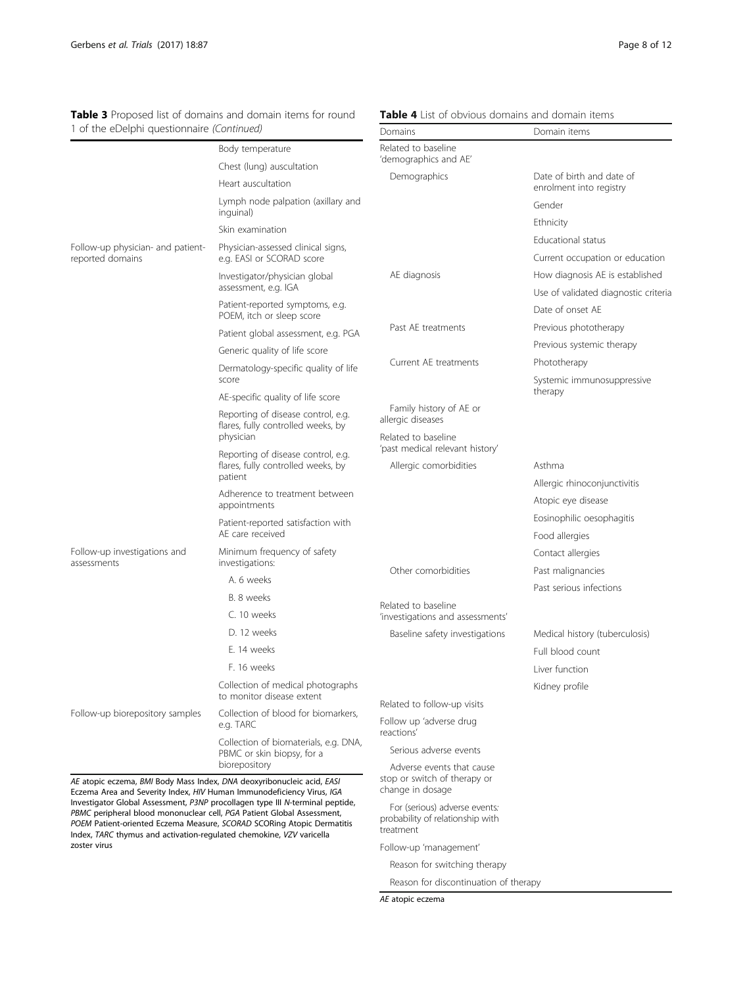Table 4 List of obvious domains and domain items

| 1 of the eDelphi questionnaire (Continued)                                                                                                      |                                                                                       | Domains                                                                                                                          | Domain items                                             |
|-------------------------------------------------------------------------------------------------------------------------------------------------|---------------------------------------------------------------------------------------|----------------------------------------------------------------------------------------------------------------------------------|----------------------------------------------------------|
|                                                                                                                                                 | Body temperature                                                                      | Related to baseline                                                                                                              |                                                          |
|                                                                                                                                                 | Chest (lung) auscultation                                                             | 'demographics and AE'                                                                                                            |                                                          |
|                                                                                                                                                 | Heart auscultation                                                                    | Demographics                                                                                                                     | Date of birth and date of<br>enrolment into registry     |
|                                                                                                                                                 | Lymph node palpation (axillary and<br>inguinal)                                       |                                                                                                                                  | Gender                                                   |
|                                                                                                                                                 | Skin examination                                                                      |                                                                                                                                  | Ethnicity                                                |
| Follow-up physician- and patient-                                                                                                               | Physician-assessed clinical signs,                                                    |                                                                                                                                  | Educational status                                       |
| reported domains                                                                                                                                | e.g. EASI or SCORAD score                                                             |                                                                                                                                  | Current occupation or education                          |
|                                                                                                                                                 | Investigator/physician global<br>assessment, e.g. IGA                                 | AE diagnosis                                                                                                                     | How diagnosis AE is established                          |
|                                                                                                                                                 | Patient-reported symptoms, e.g.<br>POEM, itch or sleep score                          |                                                                                                                                  | Use of validated diagnostic criteria<br>Date of onset AE |
|                                                                                                                                                 | Patient global assessment, e.g. PGA                                                   | Past AE treatments                                                                                                               | Previous phototherapy                                    |
|                                                                                                                                                 | Generic quality of life score                                                         |                                                                                                                                  | Previous systemic therapy                                |
|                                                                                                                                                 | Dermatology-specific quality of life                                                  | Current AE treatments                                                                                                            | Phototherapy                                             |
|                                                                                                                                                 | score                                                                                 |                                                                                                                                  | Systemic immunosuppressive                               |
|                                                                                                                                                 | AE-specific quality of life score                                                     |                                                                                                                                  | therapy                                                  |
|                                                                                                                                                 | Reporting of disease control, e.g.<br>flares, fully controlled weeks, by<br>physician | Family history of AE or<br>allergic diseases<br>Related to baseline<br>'past medical relevant history'<br>Allergic comorbidities |                                                          |
|                                                                                                                                                 | Reporting of disease control, e.g.<br>flares, fully controlled weeks, by<br>patient   |                                                                                                                                  | Asthma                                                   |
|                                                                                                                                                 | Adherence to treatment between<br>appointments                                        |                                                                                                                                  | Allergic rhinoconjunctivitis<br>Atopic eye disease       |
|                                                                                                                                                 | Patient-reported satisfaction with<br>AE care received                                |                                                                                                                                  | Eosinophilic oesophagitis<br>Food allergies              |
| Follow-up investigations and<br>assessments                                                                                                     | Minimum frequency of safety<br>investigations:                                        |                                                                                                                                  | Contact allergies                                        |
|                                                                                                                                                 | A. 6 weeks                                                                            | Other comorbidities                                                                                                              | Past malignancies                                        |
|                                                                                                                                                 | B. 8 weeks                                                                            |                                                                                                                                  | Past serious infections                                  |
|                                                                                                                                                 | C. 10 weeks                                                                           | Related to baseline<br>'investigations and assessments'                                                                          |                                                          |
|                                                                                                                                                 | D. 12 weeks                                                                           | Baseline safety investigations                                                                                                   | Medical history (tuberculosis)                           |
|                                                                                                                                                 | F. 14 weeks                                                                           |                                                                                                                                  | Full blood count                                         |
|                                                                                                                                                 | F. 16 weeks                                                                           |                                                                                                                                  | Liver function                                           |
|                                                                                                                                                 | Collection of medical photographs<br>to monitor disease extent                        |                                                                                                                                  | Kidney profile                                           |
| Follow-up biorepository samples                                                                                                                 | Collection of blood for biomarkers,<br>e.g. TARC                                      | Related to follow-up visits                                                                                                      |                                                          |
|                                                                                                                                                 |                                                                                       | Follow up 'adverse drug<br>reactions'                                                                                            |                                                          |
|                                                                                                                                                 | Collection of biomaterials, e.g. DNA,<br>PBMC or skin biopsy, for a                   | Serious adverse events                                                                                                           |                                                          |
| AE atopic eczema, BMI Body Mass Index, DNA deoxyribonucleic acid, EASI<br>Eczema Area and Severity Index, HIV Human Immunodeficiency Virus, IGA | biorepository                                                                         | Adverse events that cause<br>stop or switch of therapy or<br>change in dosage                                                    |                                                          |

<span id="page-7-0"></span>Table 3 Proposed list of domains and domain items for round

Eczema Area and Severity Index, HIV Human Immunodeficiency Virus, IGA Investigator Global Assessment, P3NP procollagen type III N-terminal peptide, PBMC peripheral blood mononuclear cell, PGA Patient Global Assessment, POEM Patient-oriented Eczema Measure, SCORAD SCORing Atopic Dermatitis Index, TARC thymus and activation-regulated chemokine, VZV varicella zoster virus

For (serious) adverse events: probability of relationship with treatment

Follow-up 'management'

Reason for switching therapy

Reason for discontinuation of therapy

AE atopic eczema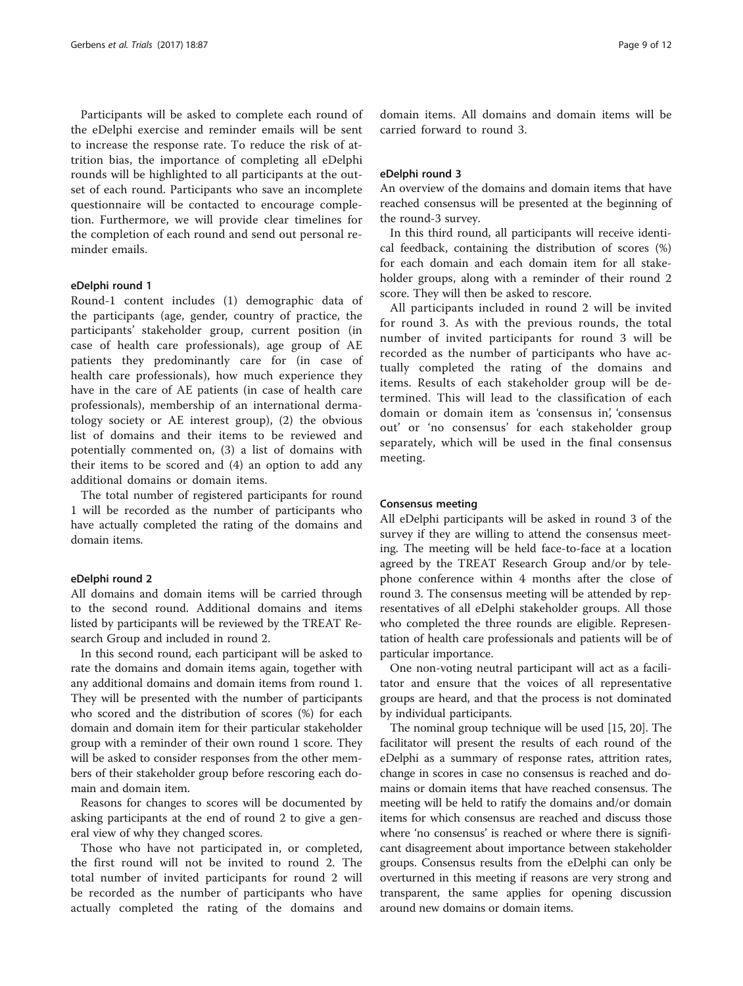Participants will be asked to complete each round of the eDelphi exercise and reminder emails will be sent to increase the response rate. To reduce the risk of attrition bias, the importance of completing all eDelphi rounds will be highlighted to all participants at the outset of each round. Participants who save an incomplete questionnaire will be contacted to encourage completion. Furthermore, we will provide clear timelines for the completion of each round and send out personal reminder emails.

# eDelphi round 1

Round-1 content includes (1) demographic data of the participants (age, gender, country of practice, the participants' stakeholder group, current position (in case of health care professionals), age group of AE patients they predominantly care for (in case of health care professionals), how much experience they have in the care of AE patients (in case of health care professionals), membership of an international dermatology society or AE interest group), (2) the obvious list of domains and their items to be reviewed and potentially commented on, (3) a list of domains with their items to be scored and (4) an option to add any additional domains or domain items.

The total number of registered participants for round 1 will be recorded as the number of participants who have actually completed the rating of the domains and domain items.

# eDelphi round 2

All domains and domain items will be carried through to the second round. Additional domains and items listed by participants will be reviewed by the TREAT Research Group and included in round 2.

In this second round, each participant will be asked to rate the domains and domain items again, together with any additional domains and domain items from round 1. They will be presented with the number of participants who scored and the distribution of scores (%) for each domain and domain item for their particular stakeholder group with a reminder of their own round 1 score. They will be asked to consider responses from the other members of their stakeholder group before rescoring each domain and domain item.

Reasons for changes to scores will be documented by asking participants at the end of round 2 to give a general view of why they changed scores.

Those who have not participated in, or completed, the first round will not be invited to round 2. The total number of invited participants for round 2 will be recorded as the number of participants who have actually completed the rating of the domains and

domain items. All domains and domain items will be carried forward to round 3.

#### eDelphi round 3

An overview of the domains and domain items that have reached consensus will be presented at the beginning of the round-3 survey.

In this third round, all participants will receive identical feedback, containing the distribution of scores (%) for each domain and each domain item for all stakeholder groups, along with a reminder of their round 2 score. They will then be asked to rescore.

All participants included in round 2 will be invited for round 3. As with the previous rounds, the total number of invited participants for round 3 will be recorded as the number of participants who have actually completed the rating of the domains and items. Results of each stakeholder group will be determined. This will lead to the classification of each domain or domain item as 'consensus in', 'consensus out' or 'no consensus' for each stakeholder group separately, which will be used in the final consensus meeting.

### Consensus meeting

All eDelphi participants will be asked in round 3 of the survey if they are willing to attend the consensus meeting. The meeting will be held face-to-face at a location agreed by the TREAT Research Group and/or by telephone conference within 4 months after the close of round 3. The consensus meeting will be attended by representatives of all eDelphi stakeholder groups. All those who completed the three rounds are eligible. Representation of health care professionals and patients will be of particular importance.

One non-voting neutral participant will act as a facilitator and ensure that the voices of all representative groups are heard, and that the process is not dominated by individual participants.

The nominal group technique will be used [\[15, 20](#page-11-0)]. The facilitator will present the results of each round of the eDelphi as a summary of response rates, attrition rates, change in scores in case no consensus is reached and domains or domain items that have reached consensus. The meeting will be held to ratify the domains and/or domain items for which consensus are reached and discuss those where 'no consensus' is reached or where there is significant disagreement about importance between stakeholder groups. Consensus results from the eDelphi can only be overturned in this meeting if reasons are very strong and transparent, the same applies for opening discussion around new domains or domain items.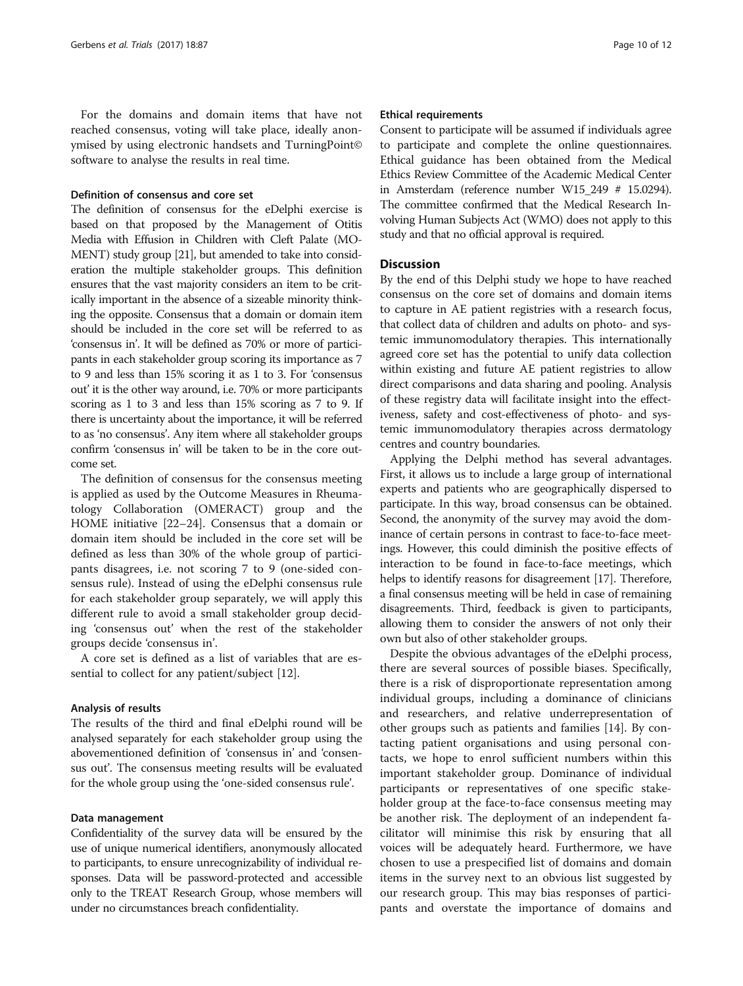For the domains and domain items that have not reached consensus, voting will take place, ideally anonymised by using electronic handsets and TurningPoint© software to analyse the results in real time.

# Definition of consensus and core set

The definition of consensus for the eDelphi exercise is based on that proposed by the Management of Otitis Media with Effusion in Children with Cleft Palate (MO-MENT) study group [\[21](#page-11-0)], but amended to take into consideration the multiple stakeholder groups. This definition ensures that the vast majority considers an item to be critically important in the absence of a sizeable minority thinking the opposite. Consensus that a domain or domain item should be included in the core set will be referred to as 'consensus in'. It will be defined as 70% or more of participants in each stakeholder group scoring its importance as 7 to 9 and less than 15% scoring it as 1 to 3. For 'consensus out' it is the other way around, i.e. 70% or more participants scoring as 1 to 3 and less than 15% scoring as 7 to 9. If there is uncertainty about the importance, it will be referred to as 'no consensus'. Any item where all stakeholder groups confirm 'consensus in' will be taken to be in the core outcome set.

The definition of consensus for the consensus meeting is applied as used by the Outcome Measures in Rheumatology Collaboration (OMERACT) group and the HOME initiative [[22](#page-11-0)–[24](#page-11-0)]. Consensus that a domain or domain item should be included in the core set will be defined as less than 30% of the whole group of participants disagrees, i.e. not scoring 7 to 9 (one-sided consensus rule). Instead of using the eDelphi consensus rule for each stakeholder group separately, we will apply this different rule to avoid a small stakeholder group deciding 'consensus out' when the rest of the stakeholder groups decide 'consensus in'.

A core set is defined as a list of variables that are essential to collect for any patient/subject [\[12](#page-11-0)].

#### Analysis of results

The results of the third and final eDelphi round will be analysed separately for each stakeholder group using the abovementioned definition of 'consensus in' and 'consensus out'. The consensus meeting results will be evaluated for the whole group using the 'one-sided consensus rule'.

# Data management

Confidentiality of the survey data will be ensured by the use of unique numerical identifiers, anonymously allocated to participants, to ensure unrecognizability of individual responses. Data will be password-protected and accessible only to the TREAT Research Group, whose members will under no circumstances breach confidentiality.

#### Ethical requirements

Consent to participate will be assumed if individuals agree to participate and complete the online questionnaires. Ethical guidance has been obtained from the Medical Ethics Review Committee of the Academic Medical Center in Amsterdam (reference number W15\_249 # 15.0294). The committee confirmed that the Medical Research Involving Human Subjects Act (WMO) does not apply to this study and that no official approval is required.

# **Discussion**

By the end of this Delphi study we hope to have reached consensus on the core set of domains and domain items to capture in AE patient registries with a research focus, that collect data of children and adults on photo- and systemic immunomodulatory therapies. This internationally agreed core set has the potential to unify data collection within existing and future AE patient registries to allow direct comparisons and data sharing and pooling. Analysis of these registry data will facilitate insight into the effectiveness, safety and cost-effectiveness of photo- and systemic immunomodulatory therapies across dermatology centres and country boundaries.

Applying the Delphi method has several advantages. First, it allows us to include a large group of international experts and patients who are geographically dispersed to participate. In this way, broad consensus can be obtained. Second, the anonymity of the survey may avoid the dominance of certain persons in contrast to face-to-face meetings. However, this could diminish the positive effects of interaction to be found in face-to-face meetings, which helps to identify reasons for disagreement [\[17\]](#page-11-0). Therefore, a final consensus meeting will be held in case of remaining disagreements. Third, feedback is given to participants, allowing them to consider the answers of not only their own but also of other stakeholder groups.

Despite the obvious advantages of the eDelphi process, there are several sources of possible biases. Specifically, there is a risk of disproportionate representation among individual groups, including a dominance of clinicians and researchers, and relative underrepresentation of other groups such as patients and families [[14](#page-11-0)]. By contacting patient organisations and using personal contacts, we hope to enrol sufficient numbers within this important stakeholder group. Dominance of individual participants or representatives of one specific stakeholder group at the face-to-face consensus meeting may be another risk. The deployment of an independent facilitator will minimise this risk by ensuring that all voices will be adequately heard. Furthermore, we have chosen to use a prespecified list of domains and domain items in the survey next to an obvious list suggested by our research group. This may bias responses of participants and overstate the importance of domains and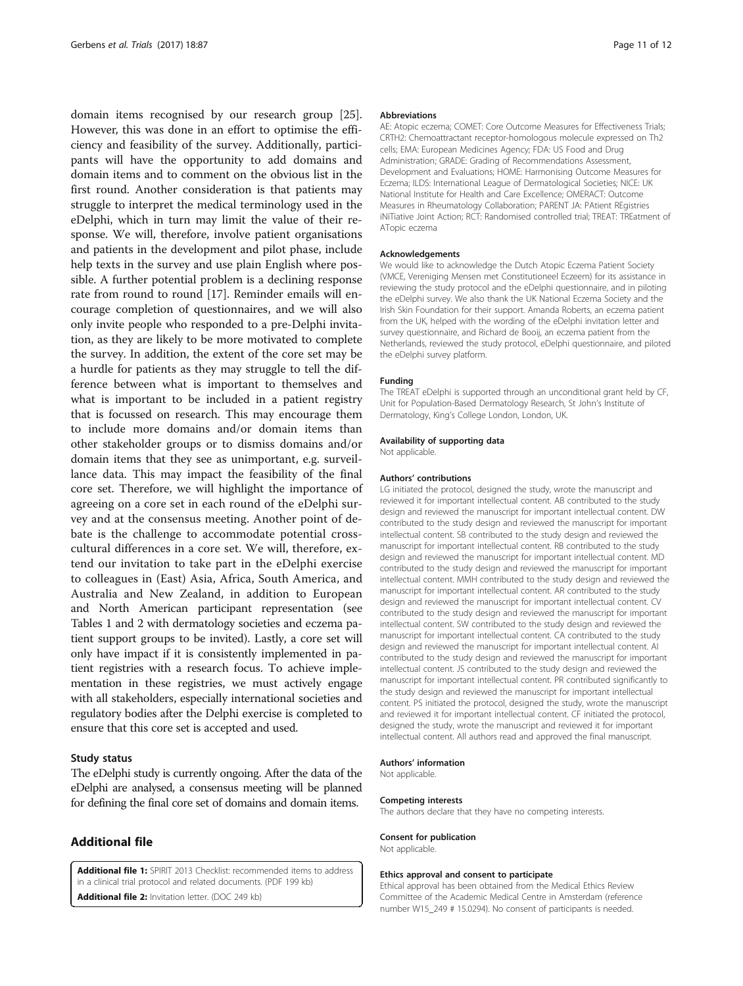<span id="page-10-0"></span>domain items recognised by our research group [\[25](#page-11-0)]. However, this was done in an effort to optimise the efficiency and feasibility of the survey. Additionally, participants will have the opportunity to add domains and domain items and to comment on the obvious list in the first round. Another consideration is that patients may struggle to interpret the medical terminology used in the eDelphi, which in turn may limit the value of their response. We will, therefore, involve patient organisations and patients in the development and pilot phase, include help texts in the survey and use plain English where possible. A further potential problem is a declining response rate from round to round [[17\]](#page-11-0). Reminder emails will encourage completion of questionnaires, and we will also only invite people who responded to a pre-Delphi invitation, as they are likely to be more motivated to complete the survey. In addition, the extent of the core set may be a hurdle for patients as they may struggle to tell the difference between what is important to themselves and what is important to be included in a patient registry that is focussed on research. This may encourage them to include more domains and/or domain items than other stakeholder groups or to dismiss domains and/or domain items that they see as unimportant, e.g. surveillance data. This may impact the feasibility of the final core set. Therefore, we will highlight the importance of agreeing on a core set in each round of the eDelphi survey and at the consensus meeting. Another point of debate is the challenge to accommodate potential crosscultural differences in a core set. We will, therefore, extend our invitation to take part in the eDelphi exercise to colleagues in (East) Asia, Africa, South America, and Australia and New Zealand, in addition to European and North American participant representation (see Tables [1](#page-3-0) and [2](#page-5-0) with dermatology societies and eczema patient support groups to be invited). Lastly, a core set will only have impact if it is consistently implemented in patient registries with a research focus. To achieve implementation in these registries, we must actively engage with all stakeholders, especially international societies and regulatory bodies after the Delphi exercise is completed to ensure that this core set is accepted and used.

### Study status

The eDelphi study is currently ongoing. After the data of the eDelphi are analysed, a consensus meeting will be planned for defining the final core set of domains and domain items.

# Additional file

[Additional file 1:](dx.doi.org/10.1186/s13063-016-1765-7) SPIRIT 2013 Checklist: recommended items to address in a clinical trial protocol and related documents. (PDF 199 kb)

[Additional file 2:](dx.doi.org/10.1186/s13063-016-1765-7) Invitation letter. (DOC 249 kb)

#### Abbreviations

AE: Atopic eczema; COMET: Core Outcome Measures for Effectiveness Trials; CRTH2: Chemoattractant receptor-homologous molecule expressed on Th2 cells; EMA: European Medicines Agency; FDA: US Food and Drug Administration; GRADE: Grading of Recommendations Assessment, Development and Evaluations; HOME: Harmonising Outcome Measures for Eczema; ILDS: International League of Dermatological Societies; NICE: UK National Institute for Health and Care Excellence; OMERACT: Outcome Measures in Rheumatology Collaboration; PARENT JA: PAtient REgistries iNiTiative Joint Action; RCT: Randomised controlled trial; TREAT: TREatment of ATopic eczema

#### Acknowledgements

We would like to acknowledge the Dutch Atopic Eczema Patient Society (VMCE, Vereniging Mensen met Constitutioneel Eczeem) for its assistance in reviewing the study protocol and the eDelphi questionnaire, and in piloting the eDelphi survey. We also thank the UK National Eczema Society and the Irish Skin Foundation for their support. Amanda Roberts, an eczema patient from the UK, helped with the wording of the eDelphi invitation letter and survey questionnaire, and Richard de Booij, an eczema patient from the Netherlands, reviewed the study protocol, eDelphi questionnaire, and piloted the eDelphi survey platform.

#### Funding

The TREAT eDelphi is supported through an unconditional grant held by CF, Unit for Population-Based Dermatology Research, St John's Institute of Dermatology, King's College London, London, UK.

#### Availability of supporting data

Not applicable.

#### Authors' contributions

LG initiated the protocol, designed the study, wrote the manuscript and reviewed it for important intellectual content. AB contributed to the study design and reviewed the manuscript for important intellectual content. DW contributed to the study design and reviewed the manuscript for important intellectual content. SB contributed to the study design and reviewed the manuscript for important intellectual content. RB contributed to the study design and reviewed the manuscript for important intellectual content. MD contributed to the study design and reviewed the manuscript for important intellectual content. MMH contributed to the study design and reviewed the manuscript for important intellectual content. AR contributed to the study design and reviewed the manuscript for important intellectual content. CV contributed to the study design and reviewed the manuscript for important intellectual content. SW contributed to the study design and reviewed the manuscript for important intellectual content. CA contributed to the study design and reviewed the manuscript for important intellectual content. AI contributed to the study design and reviewed the manuscript for important intellectual content. JS contributed to the study design and reviewed the manuscript for important intellectual content. PR contributed significantly to the study design and reviewed the manuscript for important intellectual content. PS initiated the protocol, designed the study, wrote the manuscript and reviewed it for important intellectual content. CF initiated the protocol, designed the study, wrote the manuscript and reviewed it for important intellectual content. All authors read and approved the final manuscript.

#### Authors' information

Not applicable.

#### Competing interests

The authors declare that they have no competing interests.

#### Consent for publication

Not applicable.

#### Ethics approval and consent to participate

Ethical approval has been obtained from the Medical Ethics Review Committee of the Academic Medical Centre in Amsterdam (reference number W15\_249 # 15.0294). No consent of participants is needed.